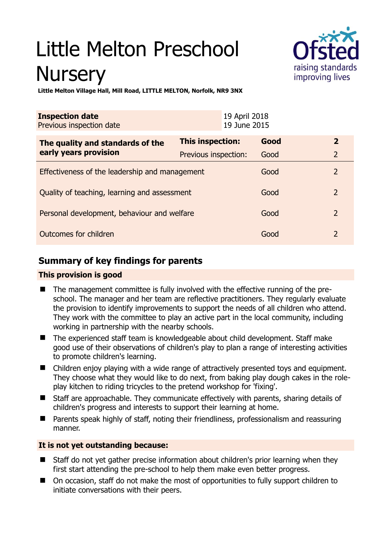# Little Melton Preschool **Nursery**



**Little Melton Village Hall, Mill Road, LITTLE MELTON, Norfolk, NR9 3NX** 

| <b>Inspection date</b><br>Previous inspection date        | 19 April 2018<br>19 June 2015 |      |                |
|-----------------------------------------------------------|-------------------------------|------|----------------|
| The quality and standards of the<br>early years provision | This inspection:              | Good | $\overline{2}$ |
|                                                           | Previous inspection:          | Good | $\overline{2}$ |
| Effectiveness of the leadership and management            |                               | Good | $\overline{2}$ |
| Quality of teaching, learning and assessment              |                               | Good | $\overline{2}$ |
| Personal development, behaviour and welfare               |                               | Good | $\overline{2}$ |
| Outcomes for children                                     |                               | Good | $\overline{2}$ |

# **Summary of key findings for parents**

## **This provision is good**

- The management committee is fully involved with the effective running of the preschool. The manager and her team are reflective practitioners. They regularly evaluate the provision to identify improvements to support the needs of all children who attend. They work with the committee to play an active part in the local community, including working in partnership with the nearby schools.
- The experienced staff team is knowledgeable about child development. Staff make good use of their observations of children's play to plan a range of interesting activities to promote children's learning.
- Children enjoy playing with a wide range of attractively presented toys and equipment. They choose what they would like to do next, from baking play dough cakes in the roleplay kitchen to riding tricycles to the pretend workshop for 'fixing'.
- Staff are approachable. They communicate effectively with parents, sharing details of children's progress and interests to support their learning at home.
- Parents speak highly of staff, noting their friendliness, professionalism and reassuring manner.

## **It is not yet outstanding because:**

- Staff do not yet gather precise information about children's prior learning when they first start attending the pre-school to help them make even better progress.
- On occasion, staff do not make the most of opportunities to fully support children to initiate conversations with their peers.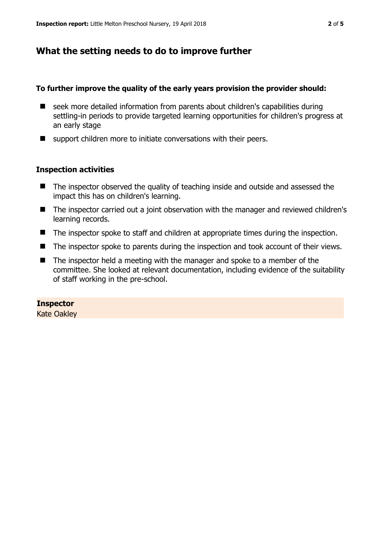## **What the setting needs to do to improve further**

#### **To further improve the quality of the early years provision the provider should:**

- seek more detailed information from parents about children's capabilities during settling-in periods to provide targeted learning opportunities for children's progress at an early stage
- support children more to initiate conversations with their peers.

#### **Inspection activities**

- The inspector observed the quality of teaching inside and outside and assessed the impact this has on children's learning.
- The inspector carried out a joint observation with the manager and reviewed children's learning records.
- The inspector spoke to staff and children at appropriate times during the inspection.
- The inspector spoke to parents during the inspection and took account of their views.
- The inspector held a meeting with the manager and spoke to a member of the committee. She looked at relevant documentation, including evidence of the suitability of staff working in the pre-school.

#### **Inspector**

Kate Oakley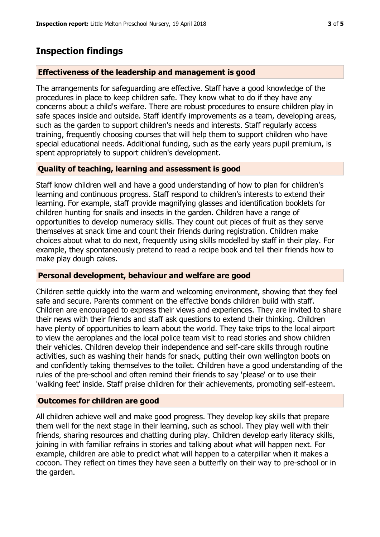# **Inspection findings**

#### **Effectiveness of the leadership and management is good**

The arrangements for safeguarding are effective. Staff have a good knowledge of the procedures in place to keep children safe. They know what to do if they have any concerns about a child's welfare. There are robust procedures to ensure children play in safe spaces inside and outside. Staff identify improvements as a team, developing areas, such as the garden to support children's needs and interests. Staff regularly access training, frequently choosing courses that will help them to support children who have special educational needs. Additional funding, such as the early years pupil premium, is spent appropriately to support children's development.

### **Quality of teaching, learning and assessment is good**

Staff know children well and have a good understanding of how to plan for children's learning and continuous progress. Staff respond to children's interests to extend their learning. For example, staff provide magnifying glasses and identification booklets for children hunting for snails and insects in the garden. Children have a range of opportunities to develop numeracy skills. They count out pieces of fruit as they serve themselves at snack time and count their friends during registration. Children make choices about what to do next, frequently using skills modelled by staff in their play. For example, they spontaneously pretend to read a recipe book and tell their friends how to make play dough cakes.

#### **Personal development, behaviour and welfare are good**

Children settle quickly into the warm and welcoming environment, showing that they feel safe and secure. Parents comment on the effective bonds children build with staff. Children are encouraged to express their views and experiences. They are invited to share their news with their friends and staff ask questions to extend their thinking. Children have plenty of opportunities to learn about the world. They take trips to the local airport to view the aeroplanes and the local police team visit to read stories and show children their vehicles. Children develop their independence and self-care skills through routine activities, such as washing their hands for snack, putting their own wellington boots on and confidently taking themselves to the toilet. Children have a good understanding of the rules of the pre-school and often remind their friends to say 'please' or to use their 'walking feet' inside. Staff praise children for their achievements, promoting self-esteem.

#### **Outcomes for children are good**

All children achieve well and make good progress. They develop key skills that prepare them well for the next stage in their learning, such as school. They play well with their friends, sharing resources and chatting during play. Children develop early literacy skills, joining in with familiar refrains in stories and talking about what will happen next. For example, children are able to predict what will happen to a caterpillar when it makes a cocoon. They reflect on times they have seen a butterfly on their way to pre-school or in the garden.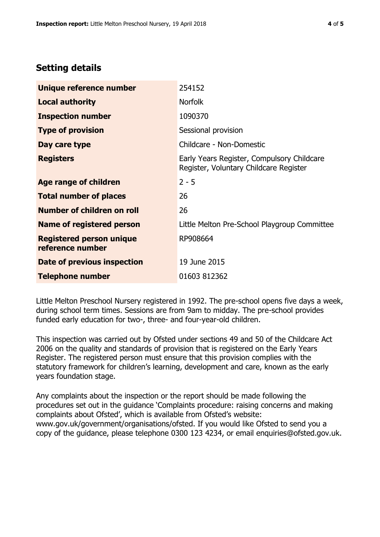## **Setting details**

| Unique reference number                             | 254152                                                                               |  |
|-----------------------------------------------------|--------------------------------------------------------------------------------------|--|
| <b>Local authority</b>                              | <b>Norfolk</b>                                                                       |  |
| <b>Inspection number</b>                            | 1090370                                                                              |  |
| <b>Type of provision</b>                            | Sessional provision                                                                  |  |
| Day care type                                       | Childcare - Non-Domestic                                                             |  |
| <b>Registers</b>                                    | Early Years Register, Compulsory Childcare<br>Register, Voluntary Childcare Register |  |
| Age range of children                               | $2 - 5$                                                                              |  |
| <b>Total number of places</b>                       | 26                                                                                   |  |
| <b>Number of children on roll</b>                   | 26                                                                                   |  |
| Name of registered person                           | Little Melton Pre-School Playgroup Committee                                         |  |
| <b>Registered person unique</b><br>reference number | RP908664                                                                             |  |
| <b>Date of previous inspection</b>                  | 19 June 2015                                                                         |  |
| <b>Telephone number</b>                             | 01603 812362                                                                         |  |

Little Melton Preschool Nursery registered in 1992. The pre-school opens five days a week, during school term times. Sessions are from 9am to midday. The pre-school provides funded early education for two-, three- and four-year-old children.

This inspection was carried out by Ofsted under sections 49 and 50 of the Childcare Act 2006 on the quality and standards of provision that is registered on the Early Years Register. The registered person must ensure that this provision complies with the statutory framework for children's learning, development and care, known as the early years foundation stage.

Any complaints about the inspection or the report should be made following the procedures set out in the guidance 'Complaints procedure: raising concerns and making complaints about Ofsted', which is available from Ofsted's website: www.gov.uk/government/organisations/ofsted. If you would like Ofsted to send you a copy of the guidance, please telephone 0300 123 4234, or email enquiries@ofsted.gov.uk.